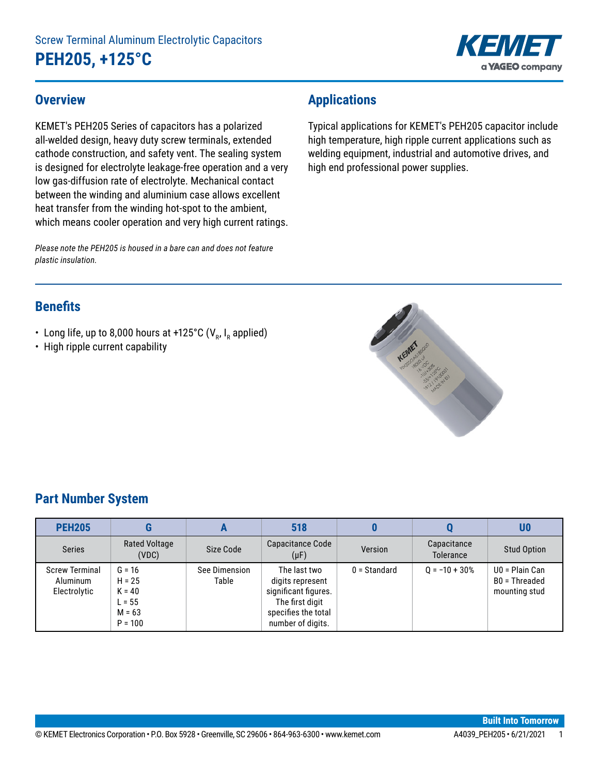

### **Overview**

KEMET's PEH205 Series of capacitors has a polarized all-welded design, heavy duty screw terminals, extended cathode construction, and safety vent. The sealing system is designed for electrolyte leakage-free operation and a very low gas-diffusion rate of electrolyte. Mechanical contact between the winding and aluminium case allows excellent heat transfer from the winding hot-spot to the ambient, which means cooler operation and very high current ratings.

*Please note the PEH205 is housed in a bare can and does not feature plastic insulation.*

# **Applications**

Typical applications for KEMET's PEH205 capacitor include high temperature, high ripple current applications such as welding equipment, industrial and automotive drives, and high end professional power supplies.

# **Benefits**

- Long life, up to 8,000 hours at +125°C (V<sub>R</sub>, I<sub>R</sub> applied)
- High ripple current capability



# **Part Number System**

| <b>PEH205</b>                                     |                                                                       |                        | 518                                                                                                                     |                |                          | U0                                               |
|---------------------------------------------------|-----------------------------------------------------------------------|------------------------|-------------------------------------------------------------------------------------------------------------------------|----------------|--------------------------|--------------------------------------------------|
| <b>Series</b>                                     | Rated Voltage<br>(VDC)                                                | Size Code              | Capacitance Code<br>$(\mu F)$                                                                                           | Version        | Capacitance<br>Tolerance | <b>Stud Option</b>                               |
| <b>Screw Terminal</b><br>Aluminum<br>Electrolytic | $G = 16$<br>$H = 25$<br>$K = 40$<br>$L = 55$<br>$M = 63$<br>$P = 100$ | See Dimension<br>Table | The last two<br>digits represent<br>significant figures.<br>The first digit<br>specifies the total<br>number of digits. | $0 =$ Standard | $0 = -10 + 30%$          | U0 = Plain Can<br>B0 = Threaded<br>mounting stud |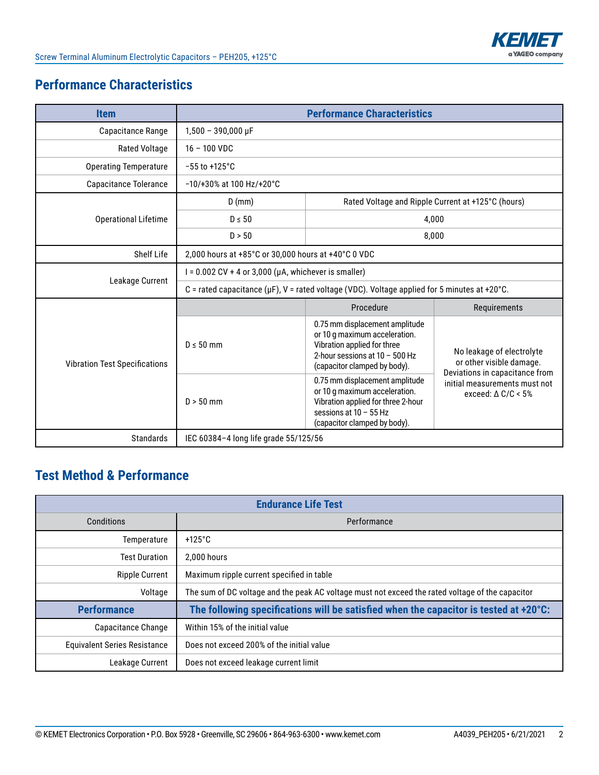# **Performance Characteristics**

| <b>Item</b>                          |                                                                                                    | <b>Performance Characteristics</b>                                                                                                                                                                                                 |                                                                                         |  |  |
|--------------------------------------|----------------------------------------------------------------------------------------------------|------------------------------------------------------------------------------------------------------------------------------------------------------------------------------------------------------------------------------------|-----------------------------------------------------------------------------------------|--|--|
| Capacitance Range                    | $1,500 - 390,000 \,\mu F$                                                                          |                                                                                                                                                                                                                                    |                                                                                         |  |  |
| <b>Rated Voltage</b>                 | $16 - 100$ VDC                                                                                     |                                                                                                                                                                                                                                    |                                                                                         |  |  |
| <b>Operating Temperature</b>         | $-55$ to $+125^{\circ}$ C                                                                          |                                                                                                                                                                                                                                    |                                                                                         |  |  |
| Capacitance Tolerance                | $-10/+30\%$ at 100 Hz/+20°C                                                                        |                                                                                                                                                                                                                                    |                                                                                         |  |  |
|                                      | Rated Voltage and Ripple Current at +125°C (hours)<br>$D$ (mm)                                     |                                                                                                                                                                                                                                    |                                                                                         |  |  |
| <b>Operational Lifetime</b>          | $D \leq 50$<br>4,000                                                                               |                                                                                                                                                                                                                                    |                                                                                         |  |  |
|                                      | D > 50<br>8,000                                                                                    |                                                                                                                                                                                                                                    |                                                                                         |  |  |
| Shelf Life                           | 2,000 hours at +85°C or 30,000 hours at +40°C 0 VDC                                                |                                                                                                                                                                                                                                    |                                                                                         |  |  |
|                                      | $I = 0.002$ CV + 4 or 3,000 ( $\mu$ A, whichever is smaller)                                       |                                                                                                                                                                                                                                    |                                                                                         |  |  |
| Leakage Current                      | C = rated capacitance ( $\mu$ F), V = rated voltage (VDC). Voltage applied for 5 minutes at +20°C. |                                                                                                                                                                                                                                    |                                                                                         |  |  |
|                                      |                                                                                                    | Procedure                                                                                                                                                                                                                          | Requirements                                                                            |  |  |
| <b>Vibration Test Specifications</b> | $D \leq 50$ mm                                                                                     | 0.75 mm displacement amplitude<br>or 10 g maximum acceleration.<br>Vibration applied for three<br>2-hour sessions at $10 - 500$ Hz<br>(capacitor clamped by body).                                                                 | No leakage of electrolyte<br>or other visible damage.<br>Deviations in capacitance from |  |  |
|                                      | $D > 50$ mm                                                                                        | 0.75 mm displacement amplitude<br>initial measurements must not<br>or 10 g maximum acceleration.<br>exceed: $\triangle$ C/C < 5%<br>Vibration applied for three 2-hour<br>sessions at $10 - 55$ Hz<br>(capacitor clamped by body). |                                                                                         |  |  |
| <b>Standards</b>                     | IEC 60384-4 long life grade 55/125/56                                                              |                                                                                                                                                                                                                                    |                                                                                         |  |  |

# **Test Method & Performance**

| <b>Endurance Life Test</b>          |                                                                                                  |  |  |  |  |
|-------------------------------------|--------------------------------------------------------------------------------------------------|--|--|--|--|
| Conditions                          | Performance                                                                                      |  |  |  |  |
| Temperature                         | +125 $^{\circ}$ C                                                                                |  |  |  |  |
| <b>Test Duration</b>                | 2.000 hours                                                                                      |  |  |  |  |
| <b>Ripple Current</b>               | Maximum ripple current specified in table                                                        |  |  |  |  |
| Voltage                             | The sum of DC voltage and the peak AC voltage must not exceed the rated voltage of the capacitor |  |  |  |  |
| <b>Performance</b>                  | The following specifications will be satisfied when the capacitor is tested at +20°C:            |  |  |  |  |
| Capacitance Change                  | Within 15% of the initial value                                                                  |  |  |  |  |
| <b>Equivalent Series Resistance</b> | Does not exceed 200% of the initial value                                                        |  |  |  |  |
| Leakage Current                     | Does not exceed leakage current limit                                                            |  |  |  |  |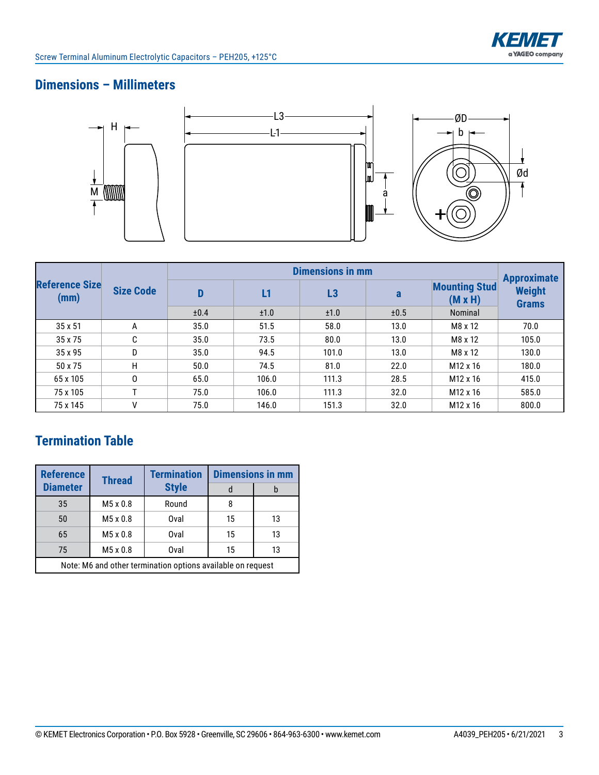

# **Dimensions – Millimeters**



| <b>Reference Size</b><br>(mm) | <b>Size Code</b> |      | <b>Approximate</b> |       |      |                                        |                               |
|-------------------------------|------------------|------|--------------------|-------|------|----------------------------------------|-------------------------------|
|                               |                  | D    | L1                 | L3    | a    | <b>Mounting Stud</b><br>$(M \times H)$ | <b>Weight</b><br><b>Grams</b> |
|                               |                  | ±0.4 | ±1.0               | ±1.0  | ±0.5 | Nominal                                |                               |
| 35 x 51                       | A                | 35.0 | 51.5               | 58.0  | 13.0 | M8 x 12                                | 70.0                          |
| 35 x 75                       | C                | 35.0 | 73.5               | 80.0  | 13.0 | M8 x 12                                | 105.0                         |
| 35 x 95                       | D                | 35.0 | 94.5               | 101.0 | 13.0 | M8 x 12                                | 130.0                         |
| 50 x 75                       | H                | 50.0 | 74.5               | 81.0  | 22.0 | M <sub>12</sub> x 16                   | 180.0                         |
| 65 x 105                      | 0                | 65.0 | 106.0              | 111.3 | 28.5 | M <sub>12</sub> x 16                   | 415.0                         |
| 75 x 105                      | T.               | 75.0 | 106.0              | 111.3 | 32.0 | M <sub>12</sub> x 16                   | 585.0                         |
| 75 x 145                      | ٧                | 75.0 | 146.0              | 151.3 | 32.0 | M <sub>12</sub> x 16                   | 800.0                         |

# **Termination Table**

| <b>Reference</b>                                            | <b>Thread</b>   | <b>Termination</b> | <b>Dimensions in mm</b> |    |  |  |
|-------------------------------------------------------------|-----------------|--------------------|-------------------------|----|--|--|
| <b>Diameter</b>                                             |                 | <b>Style</b>       |                         | b  |  |  |
| 35                                                          | M5 x 0.8        | Round              | 8                       |    |  |  |
| 50                                                          | $M5 \times 0.8$ | Oval               | 15                      | 13 |  |  |
| 65                                                          | $M5 \times 0.8$ | Oval               | 15                      | 13 |  |  |
| 75                                                          | $M5 \times 0.8$ | Oval               | 15                      | 13 |  |  |
| Note: M6 and other termination options available on request |                 |                    |                         |    |  |  |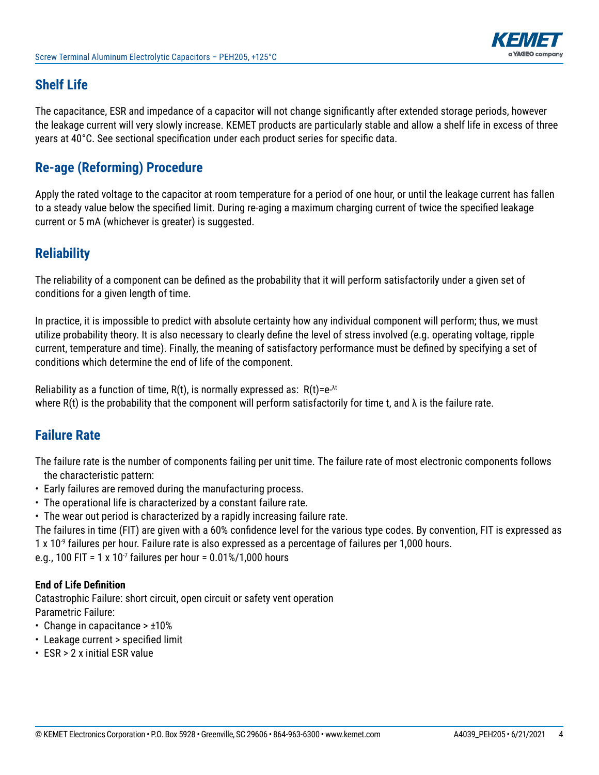

## **Shelf Life**

The capacitance, ESR and impedance of a capacitor will not change significantly after extended storage periods, however the leakage current will very slowly increase. KEMET products are particularly stable and allow a shelf life in excess of three years at 40°C. See sectional specification under each product series for specific data.

## **Re-age (Reforming) Procedure**

Apply the rated voltage to the capacitor at room temperature for a period of one hour, or until the leakage current has fallen to a steady value below the specified limit. During re-aging a maximum charging current of twice the specified leakage current or 5 mA (whichever is greater) is suggested.

### **Reliability**

The reliability of a component can be defined as the probability that it will perform satisfactorily under a given set of conditions for a given length of time.

In practice, it is impossible to predict with absolute certainty how any individual component will perform; thus, we must utilize probability theory. It is also necessary to clearly define the level of stress involved (e.g. operating voltage, ripple current, temperature and time). Finally, the meaning of satisfactory performance must be defined by specifying a set of conditions which determine the end of life of the component.

Reliability as a function of time,  $R(t)$ , is normally expressed as:  $R(t) = e^{-\lambda t}$ where R(t) is the probability that the component will perform satisfactorily for time t, and  $\lambda$  is the failure rate.

# **Failure Rate**

The failure rate is the number of components failing per unit time. The failure rate of most electronic components follows the characteristic pattern:

- Early failures are removed during the manufacturing process.
- The operational life is characterized by a constant failure rate.
- The wear out period is characterized by a rapidly increasing failure rate.

The failures in time (FIT) are given with a 60% confidence level for the various type codes. By convention, FIT is expressed as  $1 \times 10^{-9}$  failures per hour. Failure rate is also expressed as a percentage of failures per 1,000 hours.

e.g., 100 FIT = 1 x 10<sup>-7</sup> failures per hour =  $0.01\%/1,000$  hours

### **End of Life Definition**

Catastrophic Failure: short circuit, open circuit or safety vent operation Parametric Failure:

- Change in capacitance > ±10%
- Leakage current > specified limit
- ESR > 2 x initial ESR value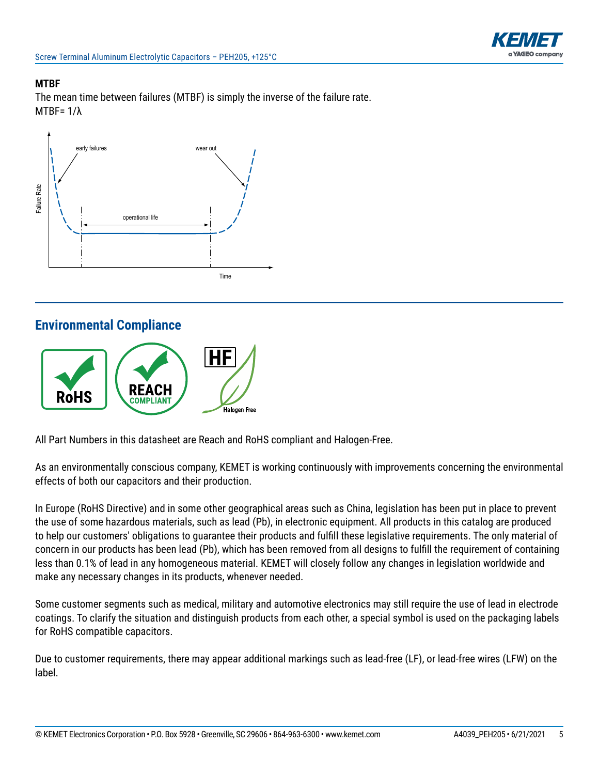

### **MTBF**

The mean time between failures (MTBF) is simply the inverse of the failure rate. MTBF= 1/λ



### **Environmental Compliance**



All Part Numbers in this datasheet are Reach and RoHS compliant and Halogen-Free.

As an environmentally conscious company, KEMET is working continuously with improvements concerning the environmental effects of both our capacitors and their production.

In Europe (RoHS Directive) and in some other geographical areas such as China, legislation has been put in place to prevent the use of some hazardous materials, such as lead (Pb), in electronic equipment. All products in this catalog are produced to help our customers' obligations to guarantee their products and fulfill these legislative requirements. The only material of concern in our products has been lead (Pb), which has been removed from all designs to fulfill the requirement of containing less than 0.1% of lead in any homogeneous material. KEMET will closely follow any changes in legislation worldwide and make any necessary changes in its products, whenever needed.

Some customer segments such as medical, military and automotive electronics may still require the use of lead in electrode coatings. To clarify the situation and distinguish products from each other, a special symbol is used on the packaging labels for RoHS compatible capacitors.

Due to customer requirements, there may appear additional markings such as lead-free (LF), or lead-free wires (LFW) on the label.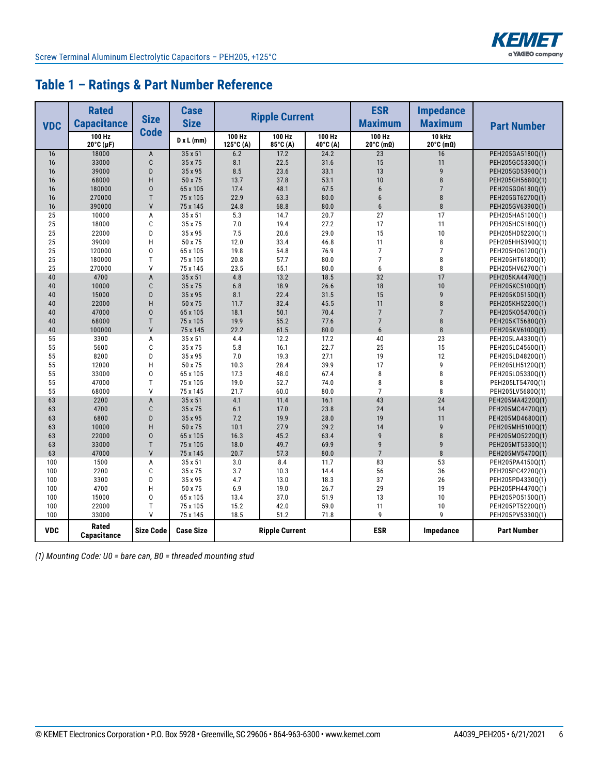

# **Table 1 – Ratings & Part Number Reference**

| <b>Rated</b><br><b>Capacitance</b><br><b>VDC</b> |                               | <b>Size</b>      | <b>Case</b><br><b>Size</b> | <b>Ripple Current</b>         |                    |                    | <b>ESR</b><br><b>Maximum</b>           | <b>Impedance</b><br><b>Maximum</b>     | <b>Part Number</b>                   |
|--------------------------------------------------|-------------------------------|------------------|----------------------------|-------------------------------|--------------------|--------------------|----------------------------------------|----------------------------------------|--------------------------------------|
|                                                  | 100 Hz<br>$20^{\circ}$ C (µF) | <b>Code</b>      | $D \times L$ (mm)          | 100 Hz<br>$125^{\circ}$ C (A) | 100 Hz<br>85°C (A) | 100 Hz<br>40°C (A) | 100 Hz<br>$20^{\circ}$ C (m $\Omega$ ) | 10 kHz<br>$20^{\circ}$ C (m $\Omega$ ) |                                      |
| 16                                               | 18000                         | $\overline{A}$   | 35 x 51                    | 6.2                           | 17.2               | 24.2               | 23                                     | 16                                     | PEH205GA5180Q(1)                     |
| 16                                               | 33000                         | C                | 35 x 75                    | 8.1                           | 22.5               | 31.6               | 15                                     | 11                                     | PEH205GC5330Q(1)                     |
| 16                                               | 39000                         | D                | 35 x 95                    | 8.5                           | 23.6               | 33.1               | 13                                     | $\overline{9}$                         | PEH205GD5390Q(1)                     |
| 16                                               | 68000                         | H                | 50 x 75                    | 13.7                          | 37.8               | 53.1               | 10                                     | 8                                      | PEH205GH5680Q(1)                     |
| 16                                               | 180000                        | $\overline{0}$   | 65 x 105                   | 17.4                          | 48.1               | 67.5               | 6                                      | $\overline{7}$                         | PEH205G06180Q(1)                     |
| 16                                               | 270000                        | T                | 75 x 105                   | 22.9                          | 63.3               | 80.0               | 6                                      | 8                                      | PEH205GT6270Q(1)                     |
| 16                                               | 390000                        | $\mathsf{V}$     | 75 x 145                   | 24.8                          | 68.8               | 80.0               | $6\phantom{1}$                         | 8                                      | PEH205GV6390Q(1)                     |
| 25                                               | 10000                         | A                | 35 x 51                    | 5.3                           | 14.7               | 20.7               | 27                                     | 17                                     | PEH205HA5100Q(1)                     |
| 25                                               | 18000                         | C                | 35 x 75                    | 7.0                           | 19.4               | 27.2               | 17                                     | 11                                     | PEH205HC5180Q(1)                     |
| 25                                               | 22000                         | D                | 35 x 95                    | 7.5                           | 20.6               | 29.0               | 15                                     | 10                                     | PEH205HD5220Q(1)                     |
| 25                                               | 39000                         | H                | 50 x 75                    | 12.0                          | 33.4               | 46.8               | 11                                     | 8                                      | PEH205HH5390Q(1)                     |
| 25                                               | 120000                        | 0                | 65 x 105                   | 19.8                          | 54.8               | 76.9               | $\overline{7}$                         | $\overline{7}$                         | PEH205H06120Q(1)                     |
| 25                                               | 180000                        | T                | 75 x 105                   | 20.8                          | 57.7               | 80.0               | $\overline{7}$                         | 8                                      | PEH205HT6180Q(1)                     |
| 25                                               | 270000                        | $\mathsf{V}$     | 75 x 145                   | 23.5                          | 65.1               | 80.0               | 6                                      | 8                                      | PEH205HV6270Q(1)                     |
| 40                                               | 4700                          | A                | 35 x 51                    | 4.8                           | 13.2               | 18.5               | 32                                     | 17                                     | PEH205KA4470Q(1)                     |
| 40                                               | 10000                         | C                | 35 x 75                    | 6.8                           | 18.9               | 26.6               | 18                                     | 10                                     | PEH205KC5100Q(1)                     |
| 40                                               | 15000                         | D                | 35 x 95                    | 8.1                           | 22.4               | 31.5               | 15                                     | 9                                      | PEH205KD5150Q(1)                     |
| 40                                               | 22000                         | H                | 50 x 75                    | 11.7                          | 32.4               | 45.5               | 11                                     | 8                                      | PEH205KH5220Q(1)                     |
| 40                                               | 47000                         | $\overline{0}$   | 65 x 105                   | 18.1                          | 50.1               | 70.4               | $\overline{7}$                         | $\overline{7}$                         | PEH205K05470Q(1)                     |
| 40                                               | 68000                         | T                | 75 x 105                   | 19.9                          | 55.2               | 77.6               | $\overline{7}$                         | 8                                      | PEH205KT5680Q(1)                     |
| 40                                               | 100000                        | $\mathsf{V}$     | 75 x 145                   | 22.2                          | 61.5               | 80.0               | $6\overline{6}$                        | $\overline{8}$                         | PEH205KV6100Q(1)                     |
| 55                                               | 3300                          | A                | 35 x 51                    | 4.4                           | 12.2               | 17.2               | 40                                     | 23                                     | PEH205LA4330Q(1)                     |
| 55                                               | 5600                          | C                | 35 x 75                    | 5.8                           | 16.1               | 22.7               | 25                                     | 15                                     | PEH205LC4560Q(1)                     |
| 55                                               | 8200                          | D                | 35 x 95                    | 7.0                           | 19.3               | 27.1               | 19                                     | 12                                     | PEH205LD4820Q(1)                     |
| 55                                               | 12000                         | H                | 50 x 75                    | 10.3                          | 28.4               | 39.9               | 17                                     | 9                                      | PEH205LH5120Q(1)                     |
| 55                                               | 33000                         | 0                | 65 x 105                   | 17.3                          | 48.0               | 67.4               | 8                                      | 8                                      | PEH205L05330Q(1)                     |
| 55                                               | 47000                         | T                | 75 x 105                   | 19.0                          | 52.7               | 74.0               | 8                                      | 8                                      | PEH205LT5470Q(1)                     |
| 55                                               | 68000                         | V                | 75 x 145                   | 21.7                          | 60.0               | 80.0               | $\overline{7}$                         | 8                                      | PEH205LV5680Q(1)                     |
| 63                                               | 2200                          | $\overline{A}$   | 35 x 51                    | 4.1                           | 11.4               | 16.1               | 43                                     | 24                                     | PEH205MA4220Q(1)                     |
| 63                                               | 4700                          | C                | 35 x 75                    | 6.1                           | 17.0               | 23.8               | 24                                     | 14                                     | PEH205MC4470Q(1)                     |
| 63                                               | 6800                          | D                | 35 x 95                    | 7.2                           | 19.9               | 28.0               | 19                                     | 11<br>$\mathsf{g}$                     | PEH205MD4680Q(1)                     |
| 63                                               | 10000                         | H                | 50 x 75                    | 10.1                          | 27.9               | 39.2               | 14                                     | 8                                      | PEH205MH5100Q(1)                     |
| 63                                               | 22000                         | $\Omega$<br>T    | 65 x 105                   | 16.3                          | 45.2               | 63.4               | 9                                      | $\overline{q}$                         | PEH205M05220Q(1)                     |
| 63                                               | 33000                         | $\mathsf{V}$     | 75 x 105                   | 18.0                          | 49.7               | 69.9               | 9<br>$\overline{7}$                    | 8                                      | PEH205MT5330Q(1)                     |
| 63                                               | 47000                         |                  | 75 x 145                   | 20.7                          | 57.3               | 80.0               |                                        |                                        | PEH205MV5470Q(1)                     |
| 100                                              | 1500                          | A                | 35 x 51                    | 3.0                           | 8.4                | 11.7               | 83                                     | 53                                     | PEH205PA4150Q(1)                     |
| 100                                              | 2200                          | C<br>D           | 35 x 75                    | 3.7                           | 10.3               | 14.4               | 56<br>37                               | 36<br>26                               | PEH205PC4220Q(1)                     |
| 100<br>100                                       | 3300                          | H                | 35 x 95<br>50 x 75         | 4.7<br>6.9                    | 13.0<br>19.0       | 18.3<br>26.7       | 29                                     | 19                                     | PEH205PD4330Q(1)                     |
| 100                                              | 4700                          | 0                |                            | 13.4                          | 37.0               | 51.9               | 13                                     | 10                                     | PEH205PH4470Q(1)                     |
| 100                                              | 15000<br>22000                | T                | 65 x 105<br>75 x 105       | 15.2                          | 42.0               | 59.0               | 11                                     | 10                                     | PEH205P05150Q(1)                     |
| 100                                              | 33000                         | $\mathsf{V}$     | 75 x 145                   | 18.5                          | 51.2               | 71.8               | 9                                      | $\mathsf{q}$                           | PEH205PT5220Q(1)<br>PEH205PV5330Q(1) |
|                                                  |                               |                  |                            |                               |                    |                    |                                        |                                        |                                      |
| <b>VDC</b>                                       | Rated<br><b>Capacitance</b>   | <b>Size Code</b> | <b>Case Size</b>           | <b>Ripple Current</b>         |                    |                    | <b>ESR</b>                             | Impedance                              | <b>Part Number</b>                   |

*(1) Mounting Code: U0 = bare can, B0 = threaded mounting stud*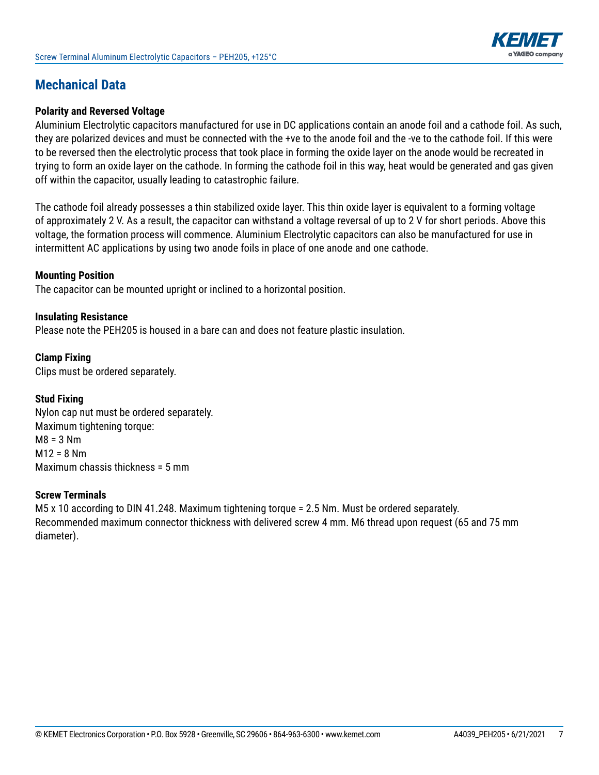

## **Mechanical Data**

#### **Polarity and Reversed Voltage**

Aluminium Electrolytic capacitors manufactured for use in DC applications contain an anode foil and a cathode foil. As such, they are polarized devices and must be connected with the +ve to the anode foil and the -ve to the cathode foil. If this were to be reversed then the electrolytic process that took place in forming the oxide layer on the anode would be recreated in trying to form an oxide layer on the cathode. In forming the cathode foil in this way, heat would be generated and gas given off within the capacitor, usually leading to catastrophic failure.

The cathode foil already possesses a thin stabilized oxide layer. This thin oxide layer is equivalent to a forming voltage of approximately 2 V. As a result, the capacitor can withstand a voltage reversal of up to 2 V for short periods. Above this voltage, the formation process will commence. Aluminium Electrolytic capacitors can also be manufactured for use in intermittent AC applications by using two anode foils in place of one anode and one cathode.

#### **Mounting Position**

The capacitor can be mounted upright or inclined to a horizontal position.

#### **Insulating Resistance**

Please note the PEH205 is housed in a bare can and does not feature plastic insulation.

**Clamp Fixing** Clips must be ordered separately.

#### **Stud Fixing**

Nylon cap nut must be ordered separately. Maximum tightening torque:  $M8 = 3 Nm$  $M12 = 8 Nm$ Maximum chassis thickness = 5 mm

#### **Screw Terminals**

M5 x 10 according to DIN 41.248. Maximum tightening torque = 2.5 Nm. Must be ordered separately. Recommended maximum connector thickness with delivered screw 4 mm. M6 thread upon request (65 and 75 mm diameter).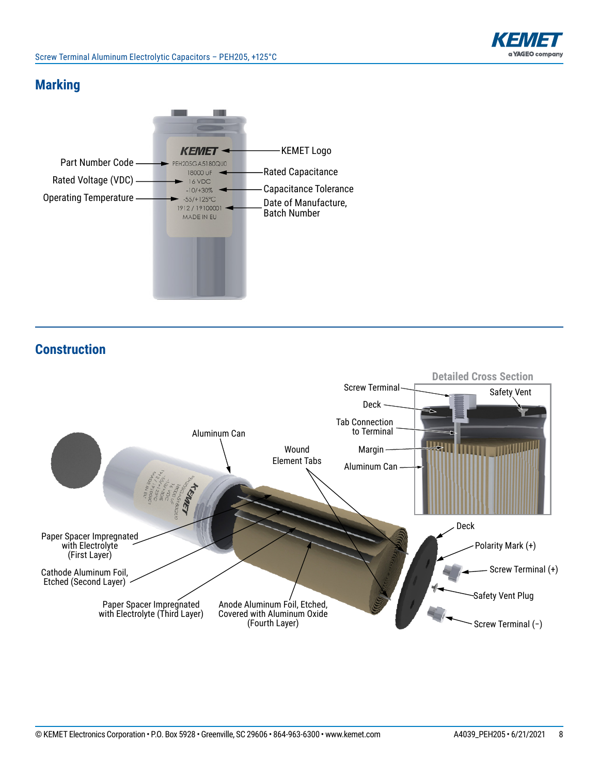

### **Marking**



**Construction**

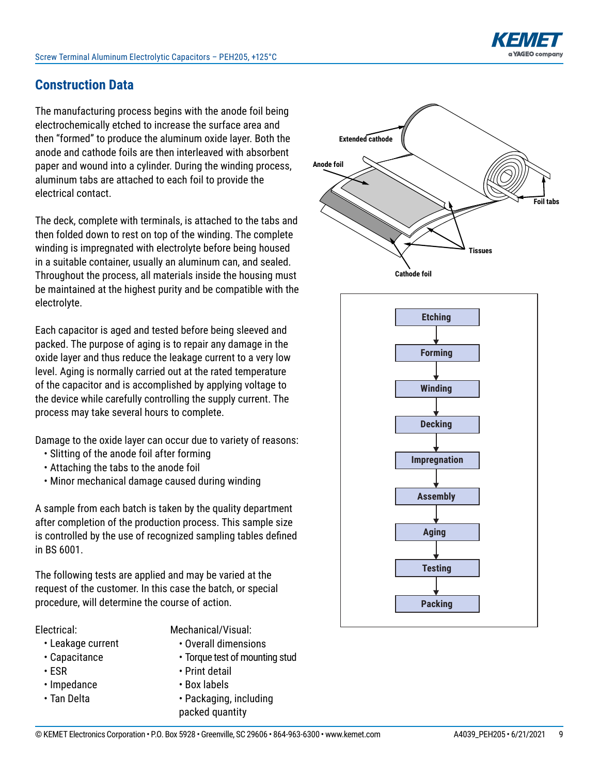

# **Construction Data**

The manufacturing process begins with the anode foil being electrochemically etched to increase the surface area and then "formed" to produce the aluminum oxide layer. Both the anode and cathode foils are then interleaved with absorbent paper and wound into a cylinder. During the winding process, aluminum tabs are attached to each foil to provide the electrical contact.

The deck, complete with terminals, is attached to the tabs and then folded down to rest on top of the winding. The complete winding is impregnated with electrolyte before being housed in a suitable container, usually an aluminum can, and sealed. Throughout the process, all materials inside the housing must be maintained at the highest purity and be compatible with the electrolyte.

Each capacitor is aged and tested before being sleeved and packed. The purpose of aging is to repair any damage in the oxide layer and thus reduce the leakage current to a very low level. Aging is normally carried out at the rated temperature of the capacitor and is accomplished by applying voltage to the device while carefully controlling the supply current. The process may take several hours to complete.

Damage to the oxide layer can occur due to variety of reasons:

- Slitting of the anode foil after forming
- Attaching the tabs to the anode foil
- Minor mechanical damage caused during winding

A sample from each batch is taken by the quality department after completion of the production process. This sample size is controlled by the use of recognized sampling tables defined in BS 6001.

The following tests are applied and may be varied at the request of the customer. In this case the batch, or special procedure, will determine the course of action.

Electrical:

Mechanical/Visual:

- Leakage current
- Capacitance
- ESR
- Impedance
- Tan Delta
- Overall dimensions
- Torque test of mounting stud
- Print detail
- Box labels
- Packaging, including packed quantity